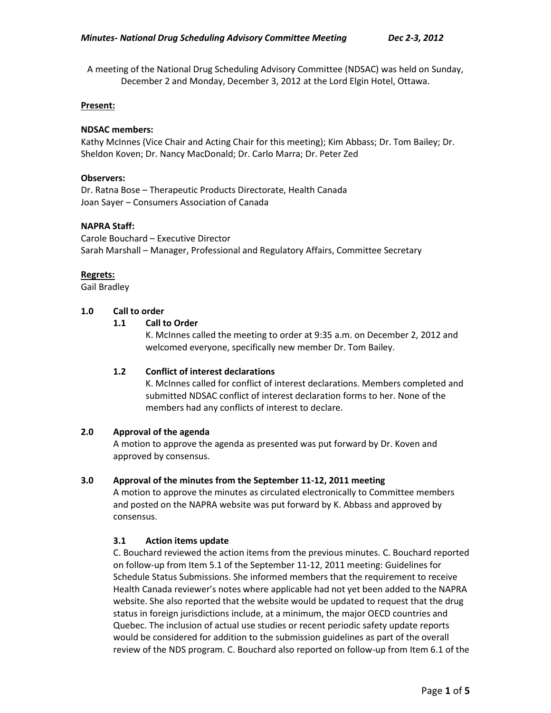A meeting of the National Drug Scheduling Advisory Committee (NDSAC) was held on Sunday, December 2 and Monday, December 3, 2012 at the Lord Elgin Hotel, Ottawa.

## **Present:**

## **NDSAC members:**

Kathy McInnes (Vice Chair and Acting Chair for this meeting); Kim Abbass; Dr. Tom Bailey; Dr. Sheldon Koven; Dr. Nancy MacDonald; Dr. Carlo Marra; Dr. Peter Zed

## **Observers:**

Dr. Ratna Bose – Therapeutic Products Directorate, Health Canada Joan Sayer – Consumers Association of Canada

## **NAPRA Staff:**

Carole Bouchard – Executive Director Sarah Marshall – Manager, Professional and Regulatory Affairs, Committee Secretary

## **Regrets:**

Gail Bradley

# **1.0 Call to order**

## **1.1 Call to Order**

K. McInnes called the meeting to order at 9:35 a.m. on December 2, 2012 and welcomed everyone, specifically new member Dr. Tom Bailey.

## **1.2 Conflict of interest declarations**

K. McInnes called for conflict of interest declarations. Members completed and submitted NDSAC conflict of interest declaration forms to her. None of the members had any conflicts of interest to declare.

## **2.0 Approval of the agenda**

A motion to approve the agenda as presented was put forward by Dr. Koven and approved by consensus.

# **3.0 Approval of the minutes from the September 11-12, 2011 meeting**

A motion to approve the minutes as circulated electronically to Committee members and posted on the NAPRA website was put forward by K. Abbass and approved by consensus.

# **3.1 Action items update**

C. Bouchard reviewed the action items from the previous minutes. C. Bouchard reported on follow-up from Item 5.1 of the September 11-12, 2011 meeting: Guidelines for Schedule Status Submissions. She informed members that the requirement to receive Health Canada reviewer's notes where applicable had not yet been added to the NAPRA website. She also reported that the website would be updated to request that the drug status in foreign jurisdictions include, at a minimum, the major OECD countries and Quebec. The inclusion of actual use studies or recent periodic safety update reports would be considered for addition to the submission guidelines as part of the overall review of the NDS program. C. Bouchard also reported on follow-up from Item 6.1 of the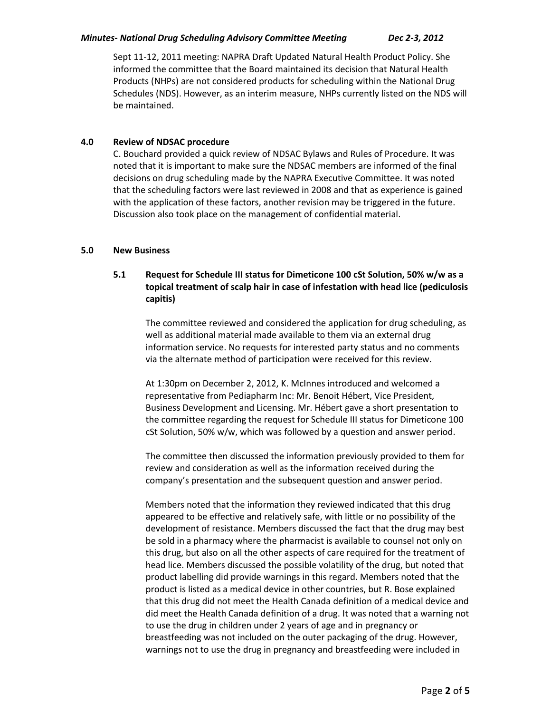### *Minutes- National Drug Scheduling Advisory Committee Meeting Dec 2-3, 2012*

Sept 11-12, 2011 meeting: NAPRA Draft Updated Natural Health Product Policy. She informed the committee that the Board maintained its decision that Natural Health Products (NHPs) are not considered products for scheduling within the National Drug Schedules (NDS). However, as an interim measure, NHPs currently listed on the NDS will be maintained.

# **4.0 Review of NDSAC procedure**

C. Bouchard provided a quick review of NDSAC Bylaws and Rules of Procedure. It was noted that it is important to make sure the NDSAC members are informed of the final decisions on drug scheduling made by the NAPRA Executive Committee. It was noted that the scheduling factors were last reviewed in 2008 and that as experience is gained with the application of these factors, another revision may be triggered in the future. Discussion also took place on the management of confidential material.

# **5.0 New Business**

# **5.1 Request for Schedule III status for Dimeticone 100 cSt Solution, 50% w/w as a topical treatment of scalp hair in case of infestation with head lice (pediculosis capitis)**

The committee reviewed and considered the application for drug scheduling, as well as additional material made available to them via an external drug information service. No requests for interested party status and no comments via the alternate method of participation were received for this review.

At 1:30pm on December 2, 2012, K. McInnes introduced and welcomed a representative from Pediapharm Inc: Mr. Benoit Hébert, Vice President, Business Development and Licensing. Mr. Hébert gave a short presentation to the committee regarding the request for Schedule III status for Dimeticone 100 cSt Solution, 50% w/w, which was followed by a question and answer period.

The committee then discussed the information previously provided to them for review and consideration as well as the information received during the company's presentation and the subsequent question and answer period.

Members noted that the information they reviewed indicated that this drug appeared to be effective and relatively safe, with little or no possibility of the development of resistance. Members discussed the fact that the drug may best be sold in a pharmacy where the pharmacist is available to counsel not only on this drug, but also on all the other aspects of care required for the treatment of head lice. Members discussed the possible volatility of the drug, but noted that product labelling did provide warnings in this regard. Members noted that the product is listed as a medical device in other countries, but R. Bose explained that this drug did not meet the Health Canada definition of a medical device and did meet the Health Canada definition of a drug. It was noted that a warning not to use the drug in children under 2 years of age and in pregnancy or breastfeeding was not included on the outer packaging of the drug. However, warnings not to use the drug in pregnancy and breastfeeding were included in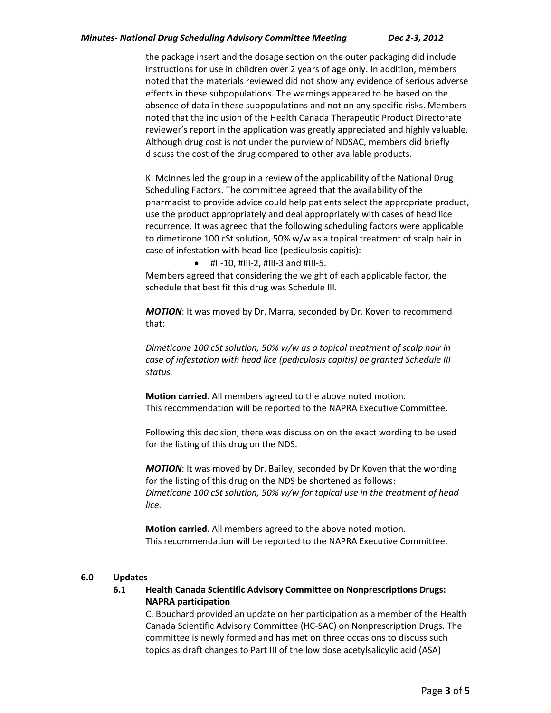#### *Minutes- National Drug Scheduling Advisory Committee Meeting Dec 2-3, 2012*

the package insert and the dosage section on the outer packaging did include instructions for use in children over 2 years of age only. In addition, members noted that the materials reviewed did not show any evidence of serious adverse effects in these subpopulations. The warnings appeared to be based on the absence of data in these subpopulations and not on any specific risks. Members noted that the inclusion of the Health Canada Therapeutic Product Directorate reviewer's report in the application was greatly appreciated and highly valuable. Although drug cost is not under the purview of NDSAC, members did briefly discuss the cost of the drug compared to other available products.

K. McInnes led the group in a review of the applicability of the National Drug Scheduling Factors. The committee agreed that the availability of the pharmacist to provide advice could help patients select the appropriate product, use the product appropriately and deal appropriately with cases of head lice recurrence. It was agreed that the following scheduling factors were applicable to dimeticone 100 cSt solution, 50% w/w as a topical treatment of scalp hair in case of infestation with head lice (pediculosis capitis):

 $\bullet$  #II-10, #III-2, #III-3 and #III-5.

Members agreed that considering the weight of each applicable factor, the schedule that best fit this drug was Schedule III.

*MOTION*: It was moved by Dr. Marra, seconded by Dr. Koven to recommend that:

*Dimeticone 100 cSt solution, 50% w/w as a topical treatment of scalp hair in case of infestation with head lice (pediculosis capitis) be granted Schedule III status.*

**Motion carried**. All members agreed to the above noted motion. This recommendation will be reported to the NAPRA Executive Committee.

Following this decision, there was discussion on the exact wording to be used for the listing of this drug on the NDS.

*MOTION*: It was moved by Dr. Bailey, seconded by Dr Koven that the wording for the listing of this drug on the NDS be shortened as follows: *Dimeticone 100 cSt solution, 50% w/w for topical use in the treatment of head lice.*

**Motion carried**. All members agreed to the above noted motion. This recommendation will be reported to the NAPRA Executive Committee.

# **6.0 Updates**

# **6.1 Health Canada Scientific Advisory Committee on Nonprescriptions Drugs: NAPRA participation**

C. Bouchard provided an update on her participation as a member of the Health Canada Scientific Advisory Committee (HC-SAC) on Nonprescription Drugs. The committee is newly formed and has met on three occasions to discuss such topics as draft changes to Part III of the low dose acetylsalicylic acid (ASA)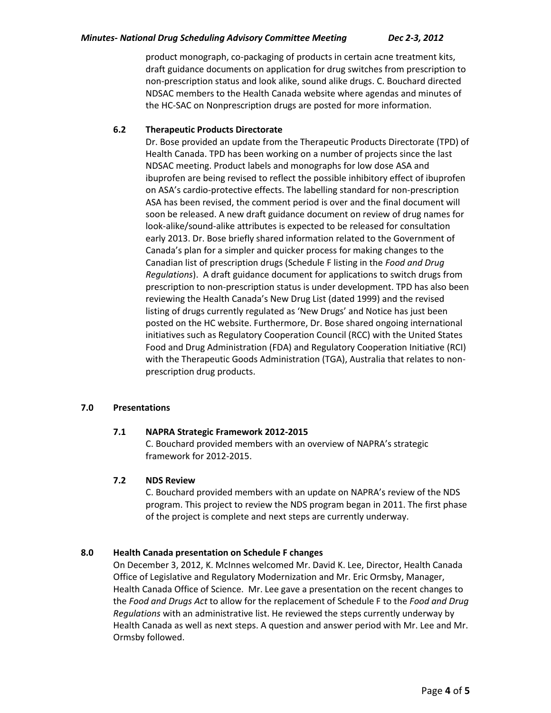product monograph, co-packaging of products in certain acne treatment kits, draft guidance documents on application for drug switches from prescription to non-prescription status and look alike, sound alike drugs. C. Bouchard directed NDSAC members to the Health Canada website where agendas and minutes of the HC-SAC on Nonprescription drugs are posted for more information.

# **6.2 Therapeutic Products Directorate**

Dr. Bose provided an update from the Therapeutic Products Directorate (TPD) of Health Canada. TPD has been working on a number of projects since the last NDSAC meeting. Product labels and monographs for low dose ASA and ibuprofen are being revised to reflect the possible inhibitory effect of ibuprofen on ASA's cardio-protective effects. The labelling standard for non-prescription ASA has been revised, the comment period is over and the final document will soon be released. A new draft guidance document on review of drug names for look-alike/sound-alike attributes is expected to be released for consultation early 2013. Dr. Bose briefly shared information related to the Government of Canada's plan for a simpler and quicker process for making changes to the Canadian list of prescription drugs (Schedule F listing in the *Food and Drug Regulations*). A draft guidance document for applications to switch drugs from prescription to non-prescription status is under development. TPD has also been reviewing the Health Canada's New Drug List (dated 1999) and the revised listing of drugs currently regulated as 'New Drugs' and Notice has just been posted on the HC website. Furthermore, Dr. Bose shared ongoing international initiatives such as Regulatory Cooperation Council (RCC) with the United States Food and Drug Administration (FDA) and Regulatory Cooperation Initiative (RCI) with the Therapeutic Goods Administration (TGA), Australia that relates to nonprescription drug products.

# **7.0 Presentations**

# **7.1 NAPRA Strategic Framework 2012-2015**

C. Bouchard provided members with an overview of NAPRA's strategic framework for 2012-2015.

# **7.2 NDS Review**

C. Bouchard provided members with an update on NAPRA's review of the NDS program. This project to review the NDS program began in 2011. The first phase of the project is complete and next steps are currently underway.

# **8.0 Health Canada presentation on Schedule F changes**

On December 3, 2012, K. McInnes welcomed Mr. David K. Lee, Director, Health Canada Office of Legislative and Regulatory Modernization and Mr. Eric Ormsby, Manager, Health Canada Office of Science. Mr. Lee gave a presentation on the recent changes to the *Food and Drugs Act* to allow for the replacement of Schedule F to the *Food and Drug Regulations* with an administrative list. He reviewed the steps currently underway by Health Canada as well as next steps. A question and answer period with Mr. Lee and Mr. Ormsby followed.